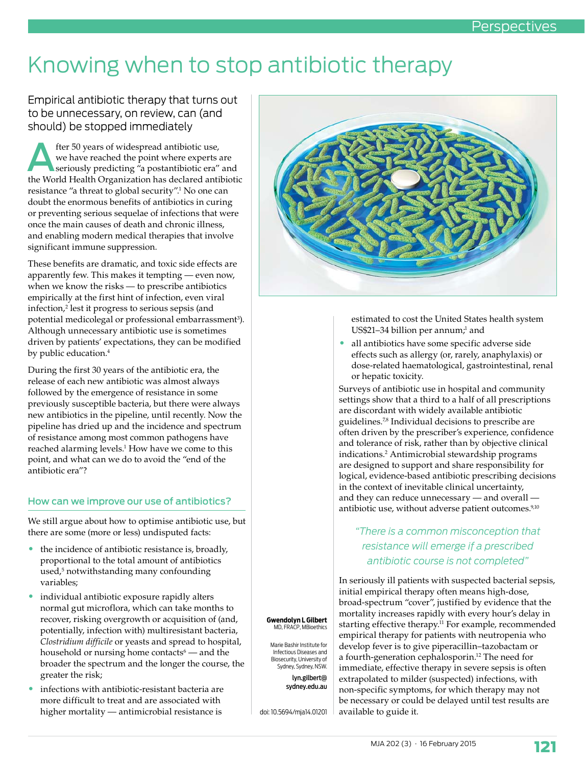# Knowing when to stop antibiotic therapy

## Empirical antibiotic therapy that turns out to be unnecessary, on review, can (and should) be stopped immediately

**After 50 years of widespread antibiotic use,<br>
seriously predicting "a postantibiotic era" and<br>
the World Health Organization has declared antibiotic** we have reached the point where experts are the World Health Organization has declared antibiotic resistance "a threat to global security".1 No one can doubt the enormous benefits of antibiotics in curing or preventing serious sequelae of infections that were once the main causes of death and chronic illness, and enabling modern medical therapies that involve significant immune suppression.

These benefits are dramatic, and toxic side effects are apparently few. This makes it tempting — even now, when we know the risks — to prescribe antibiotics empirically at the first hint of infection, even viral infection,2 lest it progress to serious sepsis (and potential medicolegal or professional embarrassment3). Although unnecessary antibiotic use is sometimes driven by patients' expectations, they can be modified by public education.<sup>4</sup>

During the first 30 years of the antibiotic era, the release of each new antibiotic was almost always followed by the emergence of resistance in some previously susceptible bacteria, but there were always new antibiotics in the pipeline, until recently. Now the pipeline has dried up and the incidence and spectrum of resistance among most common pathogens have reached alarming levels.1 How have we come to this point, and what can we do to avoid the "end of the antibiotic era"?

### How can we improve our use of antibiotics?

We still argue about how to optimise antibiotic use, but there are some (more or less) undisputed facts:

- the incidence of antibiotic resistance is, broadly, proportional to the total amount of antibiotics used,<sup>5</sup> notwithstanding many confounding variables;
- individual antibiotic exposure rapidly alters normal gut microflora, which can take months to recover, risking overgrowth or acquisition of (and, potentially, infection with) multiresistant bacteria, *Clostridium difficile* or yeasts and spread to hospital, household or nursing home contacts<sup>6</sup> — and the broader the spectrum and the longer the course, the greater the risk;
- infections with antibiotic-resistant bacteria are more difficult to treat and are associated with higher mortality — antimicrobial resistance is



estimated to cost the United States health system US\$21–34 billion per annum; and

• all antibiotics have some specific adverse side effects such as allergy (or, rarely, anaphylaxis) or dose-related haematological, gastrointestinal, renal or hepatic toxicity.

Surveys of antibiotic use in hospital and community settings show that a third to a half of all prescriptions are discordant with widely available antibiotic guidelines.7,8 Individual decisions to prescribe are often driven by the prescriber's experience, confidence and tolerance of risk, rather than by objective clinical indications.2 Antimicrobial stewardship programs are designed to support and share responsibility for logical, evidence-based antibiotic prescribing decisions in the context of inevitable clinical uncertainty, and they can reduce unnecessary — and overall antibiotic use, without adverse patient outcomes.<sup>9,10</sup>

# *"There is a common misconception that resistance will emerge if a prescribed antibiotic course is not completed"*

In seriously ill patients with suspected bacterial sepsis, initial empirical therapy often means high-dose, broad-spectrum "cover", justified by evidence that the mortality increases rapidly with every hour's delay in starting effective therapy.<sup>11</sup> For example, recommended empirical therapy for patients with neutropenia who develop fever is to give piperacillin–tazobactam or a fourth-generation cephalosporin.12 The need for immediate, effective therapy in severe sepsis is often extrapolated to milder (suspected) infections, with non-specific symptoms, for which therapy may not be necessary or could be delayed until test results are available to guide it.

**Gwendolyn L Gilbert** MD, FRACP, MBioethics

Marie Bashir Institute for Infectious Diseases and Biosecurity, University of Sydney, Sydney, NSW.

lyn.gilbert@ sydney.edu.au

doi: 10.5694/mja14.01201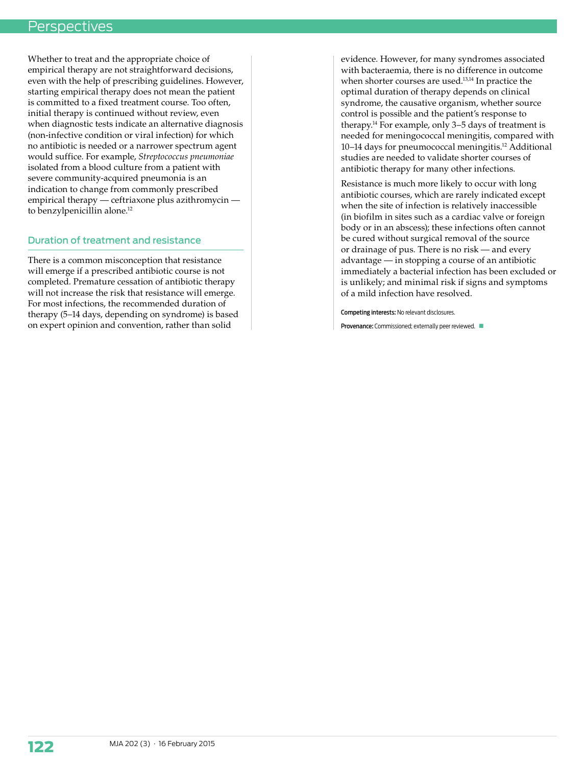## **Perspectives**

Whether to treat and the appropriate choice of empirical therapy are not straightforward decisions, even with the help of prescribing guidelines. However, starting empirical therapy does not mean the patient is committed to a fixed treatment course. Too often, initial therapy is continued without review, even when diagnostic tests indicate an alternative diagnosis (non-infective condition or viral infection) for which no antibiotic is needed or a narrower spectrum agent would suffice. For example, *Streptococcus pneumoniae* isolated from a blood culture from a patient with severe community-acquired pneumonia is an indication to change from commonly prescribed empirical therapy — ceftriaxone plus azithromycin to benzylpenicillin alone.<sup>12</sup>

### Duration of treatment and resistance

There is a common misconception that resistance will emerge if a prescribed antibiotic course is not completed. Premature cessation of antibiotic therapy will not increase the risk that resistance will emerge. For most infections, the recommended duration of therapy (5–14 days, depending on syndrome) is based on expert opinion and convention, rather than solid

evidence. However, for many syndromes associated with bacteraemia, there is no difference in outcome when shorter courses are used.<sup>13,14</sup> In practice the optimal duration of therapy depends on clinical syndrome, the causative organism, whether source control is possible and the patient's response to therapy.14 For example, only 3–5 days of treatment is needed for meningococcal meningitis, compared with 10–14 days for pneumococcal meningitis.12 Additional studies are needed to validate shorter courses of antibiotic therapy for many other infections.

Resistance is much more likely to occur with long antibiotic courses, which are rarely indicated except when the site of infection is relatively inaccessible (in biofilm in sites such as a cardiac valve or foreign body or in an abscess); these infections often cannot be cured without surgical removal of the source or drainage of pus. There is no risk — and every advantage — in stopping a course of an antibiotic immediately a bacterial infection has been excluded or is unlikely; and minimal risk if signs and symptoms of a mild infection have resolved.

Competing interests: No relevant disclosures.

Provenance: Commissioned; externally peer reviewed.